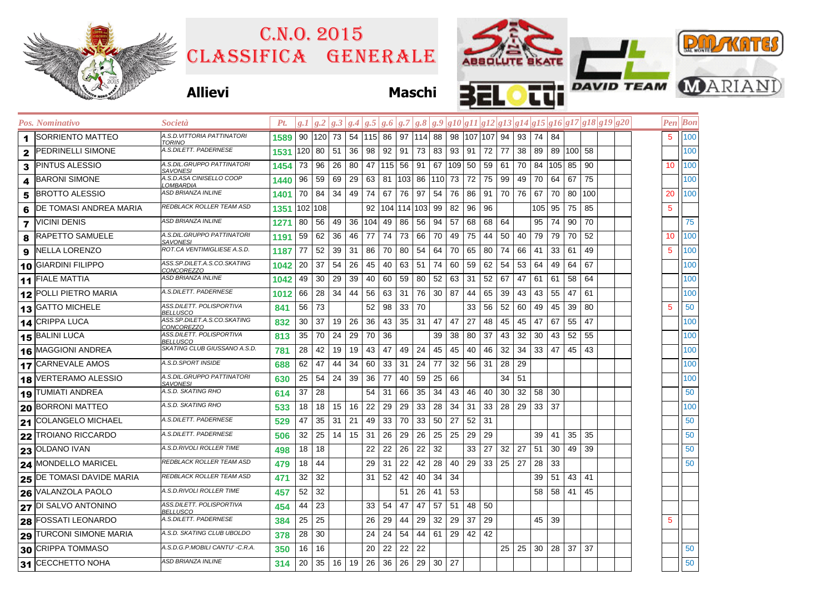| 2015<br><b>DITO NORD OVER</b> |  |
|-------------------------------|--|

## Classifica generale C.n.o. 2015



## **Allievi Maschi**

|                         | Pos. Nominativo           | <i>Società</i>                                          | Pt.  | g. 1    | g.2 |    |    |          |           |         |     |     |     |    |                     |     |    |     |     |           |     | $g.3 g.4 g.5 g.6 g.7 g.8 g.9 g10 g11 g12 g13 g14 g15 g16 g17 g18 g19 g20$ |    | Pen  Bon |
|-------------------------|---------------------------|---------------------------------------------------------|------|---------|-----|----|----|----------|-----------|---------|-----|-----|-----|----|---------------------|-----|----|-----|-----|-----------|-----|---------------------------------------------------------------------------|----|----------|
| 1                       | <b>SORRIENTO MATTEO</b>   | A.S.D.VITTORIA PATTINATORI<br>TORINO                    | 1589 | 90      | 120 | 73 |    |          | 54 115 86 | 97      | 114 | 88  |     |    | 98   107   107   94 |     | 93 | 74  | 84  |           |     |                                                                           | 5. | 100      |
| 2                       | <b>PEDRINELLI SIMONE</b>  | A.S.DILETT. PADERNESE                                   | 1531 | 120     | 80  | 51 | 36 | 98       | 92        | 91      | 73  | 83  | 93  | 91 | 72                  | 77  | 38 | 89  |     | 89 100 58 |     |                                                                           |    | 100      |
| 3                       | PINTUS ALESSIO            | A.S.DIL.GRUPPO PATTINATORI<br>SAVONESI                  | 1454 | 73      | 96  | 26 | 80 | 47       | 115 56    |         | 91  | 67  | 109 | 50 | 59                  | -61 | 70 | 84  | 105 | 85        | 90  |                                                                           | 10 | 100      |
| 4                       | <b>BARONI SIMONE</b>      | A.S.D.ASA CINISELLO COOP<br>.OMBARDIA                   | 1440 | 96      | 59  | 69 | 29 | 63       | 81        | 103     | 86  | 110 | 73  | 72 | 75                  | 99  | 49 | 70  | 64  | 67        | 75  |                                                                           |    | 100      |
| 5                       | <b>BROTTO ALESSIO</b>     | <b>ASD BRIANZA INLINE</b>                               | 1401 | 70      | 84  | 34 | 49 | 74       | 67        | 76      | 97  | 54  | 76  | 86 | 91                  | 70  | 76 | 67  | 70  | 80        | 100 |                                                                           | 20 | 100      |
| 6                       | DE TOMASI ANDREA MARIA    | REDBLACK ROLLER TEAM ASD                                | 1351 | 102 108 |     |    |    | 92       | 104       | 114 103 |     | 99  | 82  | 96 | 96                  |     |    | 105 | 95  | 75        | 85  |                                                                           | 5  |          |
| $\overline{\mathbf{z}}$ | VICINI DENIS              | ASD BRIANZA INLINE                                      | 1271 | 80      | 56  | 49 |    | 36   104 | 49        | 86      | 56  | 94  | 57  | 68 | 68                  | 64  |    | 95  | 74  | 90        | 70  |                                                                           |    | 75       |
| 8                       | <b>RAPETTO SAMUELE</b>    | A.S.DIL.GRUPPO PATTINATORI<br>SAVONESI                  | 1191 | 59      | 62  | 36 | 46 | 77       | 74        | 73      | 66  | 70  | 49  | 75 | 44                  | 50  | 40 | 79  | 79  | 70        | 52  |                                                                           | 10 | 100      |
| 9                       | <b>NELLA LORENZO</b>      | ROT.CA VENTIMIGLIESE A.S.D.                             | 1187 | 77      | 52  | 39 | 31 | 86       | 70        | 80      | 54  | 64  | 70  | 65 | 80                  | 74  | 66 | 41  | 33  | 61        | 49  |                                                                           | 5  | 100      |
| 10                      | <b>GIARDINI FILIPPO</b>   | ASS.SP.DILET.A.S.CO.SKATING<br><i><b>CONCOREZZO</b></i> | 1042 | 20      | 37  | 54 | 26 | 45       | 40        | 63      | 51  | 74  | 60  | 59 | 62                  | 54  | 53 | 64  | 49  | 64        | 67  |                                                                           |    | 100      |
|                         | 11 FIALE MATTIA           | ASD BRIANZA INLINE                                      | 1042 | 49      | 30  | 29 | 39 | 40       | 60        | 59      | 80  | 52  | 63  | 31 | 52                  | 67  | 47 | 61  | 61  | 58        | 64  |                                                                           |    | 100      |
|                         | 12 POLLI PIETRO MARIA     | A.S.DILETT. PADERNESE                                   | 1012 | 66      | 28  | 34 | 44 | 56       | 63        | 31      | 76  | 30  | 87  | 44 | 65                  | 39  | 43 | 43  | 55  | 47        | 61  |                                                                           |    | 100      |
|                         | 13 GATTO MICHELE          | ASS.DILETT. POLISPORTIVA<br>BELLUSCO                    | 841  | 56      | 73  |    |    | 52       | 98        | 33      | 70  |     |     | 33 | 56                  | 52  | 60 | 49  | 45  | 39        | 80  |                                                                           | 5  | 50       |
|                         | 14 CRIPPA LUCA            | ASS.SP.DILET.A.S.CO.SKATING<br>CONCOREZZO               | 832  | 30      | 37  | 19 | 26 | 36       | 43        | 35      | 31  | 47  | 47  | 27 | 48                  | 45  | 45 | 47  | 67  | 55        | 47  |                                                                           |    | 100      |
|                         | 15 BALINI LUCA            | ASS.DILETT. POLISPORTIVA<br>BELLUSCO                    | 813  | 35      | 70  | 24 | 29 | 70       | 36        |         |     | 39  | 38  | 80 | 37                  | 43  | 32 | 30  | 43  | 52        | 55  |                                                                           |    | 100      |
| 16                      | <b>MAGGIONI ANDREA</b>    | SKATING CLUB GIUSSANO A.S.D.                            | 781  | 28      | 42  | 19 | 19 | 43       | 47        | 49      | 24  | 45  | 45  | 40 | 46                  | 32  | 34 | 33  | 47  | 45        | 43  |                                                                           |    | 100      |
|                         | 17 CARNEVALE AMOS         | A.S.D.SPORT INSIDE                                      | 688  | 62      | 47  | 44 | 34 | 60       | 33        | 31      | 24  | 77  | 32  | 56 | 31                  | 28  | 29 |     |     |           |     |                                                                           |    | 100      |
|                         | 18 VERTERAMO ALESSIO      | A.S.DIL.GRUPPO PATTINATORI<br>SAVONESI                  | 630  | 25      | 54  | 24 | 39 | 36       | 77        | 40      | 59  | 25  | 66  |    |                     | 34  | 51 |     |     |           |     |                                                                           |    | 100      |
|                         | 19 TUMIATI ANDREA         | A.S.D. SKATING RHO                                      | 614  | 37      | 28  |    |    | 54       | 31        | 66      | 35  | 34  | 43  | 46 | 40                  | 30  | 32 | 58  | 30  |           |     |                                                                           |    | 50       |
|                         | 20 BORRONI MATTEO         | A.S.D. SKATING RHO                                      | 533  | 18      | 18  | 15 | 16 | 22       | 29        | 29      | 33  | 28  | 34  | 31 | 33                  | 28  | 29 | 33  | 37  |           |     |                                                                           |    | 100      |
|                         | 21 COLANGELO MICHAEL      | A.S.DILETT. PADERNESE                                   | 529  | 47      | 35  | 31 | 21 | 49       | 33        | 70      | 33  | 50  | 27  | 52 | -31                 |     |    |     |     |           |     |                                                                           |    | 50       |
|                         | 22 TROIANO RICCARDO       | A.S.DILETT. PADERNESE                                   | 506  | 32      | 25  | 14 | 15 | 31       | 26        | 29      | 26  | 25  | 25  | 29 | 29                  |     |    | 39  | 41  | 35        | 35  |                                                                           |    | 50       |
|                         | 23 OLDANO IVAN            | A.S.D.RIVOLI ROLLER TIME                                | 498  | 18      | 18  |    |    | 22       | 22        | 26      | 22  | 32  |     | 33 | 27                  | 32  | 27 | 51  | 30  | 49        | 39  |                                                                           |    | 50       |
|                         | 24 MONDELLO MARICEL       | REDBLACK ROLLER TEAM ASD                                | 479  | 18      | 44  |    |    | 29       | -31       | 22      | 42  | 28  | 40  | 29 | 33                  | 25  | 27 | 28  | 33  |           |     |                                                                           |    | 50       |
|                         | 25 DE TOMASI DAVIDE MARIA | REDBLACK ROLLER TEAM ASD                                | 471  | 32      | 32  |    |    | 31       | 52        | 42      | 40  | 34  | 34  |    |                     |     |    | 39  | 51  | 43        | 41  |                                                                           |    |          |
|                         | 26 VALANZOLA PAOLO        | A.S.D.RIVOLI ROLLER TIME                                | 457  | 52      | 32  |    |    |          |           | 51      | 26  | 41  | 53  |    |                     |     |    | 58  | 58  | 41        | 45  |                                                                           |    |          |
|                         | 27 DI SALVO ANTONINO      | ASS.DILETT. POLISPORTIVA<br>BELLUSCO                    | 454  | 44      | 23  |    |    | 33       | 54        | 47      | 47  | 57  | 51  | 48 | 50                  |     |    |     |     |           |     |                                                                           |    |          |
| 28                      | <b>FOSSATI LEONARDO</b>   | A.S.DILETT. PADERNESE                                   | 384  | 25      | 25  |    |    | 26       | 29        | 44      | 29  | 32  | 29  | 37 | 29                  |     |    | 45  | 39  |           |     |                                                                           | 5  |          |
|                         | 29 TURCONI SIMONE MARIA   | A.S.D. SKATING CLUB UBOLDO                              | 378  | 28      | 30  |    |    | 24       | 24        | 54      | 44  | 61  | 29  | 42 | 42                  |     |    |     |     |           |     |                                                                           |    |          |
|                         | 30 CRIPPA TOMMASO         | A.S.D.G.P.MOBILI CANTU' -C.R.A.                         | 350  | 16      | 16  |    |    | 20       | 22        | 22      | 22  |     |     |    |                     | 25  | 25 | 30  | 28  | 37        | 37  |                                                                           |    | 50       |
|                         | 31 CECCHETTO NOHA         | ASD BRIANZA INLINE                                      | 314  | 20      | 35  | 16 | 19 | 26       | 36        | 26      | 29  | 30  | 27  |    |                     |     |    |     |     |           |     |                                                                           |    | 50       |
|                         |                           |                                                         |      |         |     |    |    |          |           |         |     |     |     |    |                     |     |    |     |     |           |     |                                                                           |    |          |